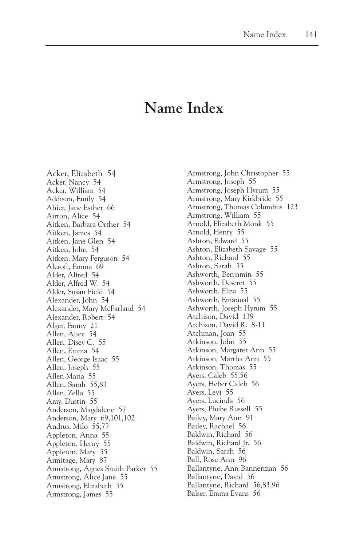## **Name Index**

Acker, Elizabeth 54 Acker, Nancy 54 Acker, William 54 Addison, Emily 54 Ahier, Jane Esther 66 Airton, Alice 54 Aitken, Barbara Orther 54 Aitken, James 54 Aitken, Jane Glen 54 Aitken, John 54 Aitken, Mary Ferguson 54 Alcroft, Emma 69 Alder, Alfred 54 Alder, Alfred W. 54 Alder, Susan Field 54 Alexander, John 54 Alexander, Mary McFarland 54 Alexander, Robert 54 Alger, Fanny 21 Allen, Alice 54 Allen, Disey C. 55 Allen, Emma 54 Allen, George Isaac 55 Allen, Joseph 55 Allen Maria 55 Allen, Sarah 55,83 Allen, Zella 55 Amy, Dustin 55 Anderson, Magdalene 57 Anderson, Mary 69,101,102 Andrus, Milo 55,77 Appleton, Anna 55 Appleton, Henry 55 Appleton, Mary 55 Armitage, Mary 87 Armstrong, Agnes Smith Parker 55 Armstrong, Alice Jane 55 Armstrong, Elizabeth 55 Armstrong, James 55

Armstrong, John Christopher 55 Armstrong, Joseph 55 Armstrong, Joseph Hyrum 55 Armstrong, Mary Kirkbride 55 Armstrong, Thomas Columbus 123 Armstrong, William 55 Arnold, Elizabeth Monk 55 Arnold, Henry 55 Ashton, Edward 55 Ashton, Elizabeth Savage 55 Ashton, Richard 55 Ashton, Sarah 55 Ashworth, Benjamin 55 Ashworth, Deseret 55 Ashworth, Eliza 55 Ashworth, Emanual 55 Ashworth, Joseph Hyrum 55 Atchison, David 139 Atchison, David R. 8-11 Atchman, Joan 55 Atkinson, John 55 Atkinson, Margaret Ann 55 Atkinson, Martha Ann 55 Atkinson, Thomas 55 Ayers, Caleb 55,56 Ayers, Heber Caleb 56 Ayers, Levi 55 Ayers, Lucinda 56 Ayers, Phebe Russell 55 Bailey, Mary Ann 91 Bailey, Rachael 56 Baldwin, Richard 56 Baldwin, Richard Jr. 56 Baldwin, Sarah 56 Ball, Rose Ann 96 Ballantyne, Ann Bannerman 56 Ballantyne, David 56 Ballantyne, Richard 56,83,96 Balser, Emma Evans 56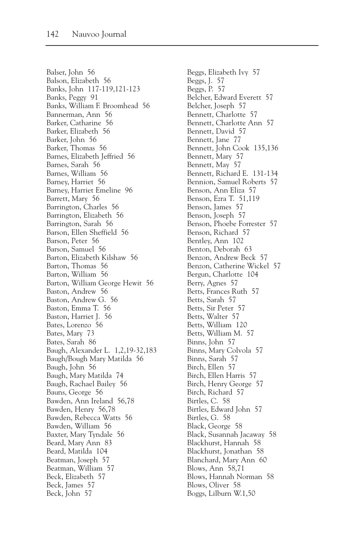Balser, John 56 Balson, Elizabeth 56 Banks, John 117-119,121-123 Banks, Peggy 91 Banks, William F. Broomhead 56 Bannerman, Ann 56 Barker, Catharine 56 Barker, Elizabeth 56 Barker, John 56 Barker, Thomas 56 Barnes, Elizabeth Jeffried 56 Barnes, Sarah 56 Barnes, William 56 Barney, Harriet 56 Barney, Harriet Emeline 96 Barrett, Mary 56 Barrington, Charles 56 Barrington, Elizabeth 56 Barrington, Sarah 56 Barson, Ellen Sheffield 56 Barson, Peter 56 Barson, Samuel 56 Barton, Elizabeth Kilshaw 56 Barton, Thomas 56 Barton, William 56 Barton, William George Hewit 56 Baston, Andrew 56 Baston, Andrew G. 56 Baston, Emma T. 56 Baston, Harriet J. 56 Bates, Lorenzo 56 Bates, Mary 73 Bates, Sarah 86 Baugh, Alexander L. 1,2,19-32,183 Baugh/Bough Mary Matilda 56 Baugh, John 56 Baugh, Mary Matilda 74 Baugh, Rachael Bailey 56 Bauns, George 56 Bawden, Ann Ireland 56,78 Bawden, Henry 56,78 Bawden, Rebecca Watts 56 Bawden, William 56 Baxter, Mary Tyndale 56 Beard, Mary Ann 83 Beard, Matilda 104 Beatman, Joseph 57 Beatman, William 57 Beck, Elizabeth 57 Beck, James 57 Beck, John 57

Beggs, Elizabeth Ivy 57 Beggs, J. 57 Beggs, P. 57 Belcher, Edward Everett 57 Belcher, Joseph 57 Bennett, Charlotte 57 Bennett, Charlotte Ann 57 Bennett, David 57 Bennett, Jane 77 Bennett, John Cook 135,136 Bennett, Mary 57 Bennett, May 57 Bennett, Richard E. 131-134 Bennion, Samuel Roberts 57 Benson, Ann Eliza 57 Benson, Ezra T. 51,119 Benson, James 57 Benson, Joseph 57 Benson, Phoebe Forrester 57 Benson, Richard 57 Bentley, Ann 102 Benton, Deborah 63 Benzon, Andrew Beck 57 Benzon, Catherine Wickel 57 Bergun, Charlotte 104 Berry, Agnes 57 Betts, Frances Ruth 57 Betts, Sarah 57 Betts, Sir Peter 57 Betts, Walter 57 Betts, William 120 Betts, William M. 57 Binns, John 57 Binns, Mary Colvola 57 Binns, Sarah 57 Birch, Ellen 57 Birch, Ellen Harris 57 Birch, Henry George 57 Birch, Richard 57 Birtles, C. 58 Birtles, Edward John 57 Birtles, G. 58 Black, George 58 Black, Susannah Jacaway 58 Blackhurst, Hannah 58 Blackhurst, Jonathan 58 Blanchard, Mary Ann 60 Blows, Ann 58,71 Blows, Hannah Norman 58 Blows, Oliver 58 Boggs, Lilburn W.1,50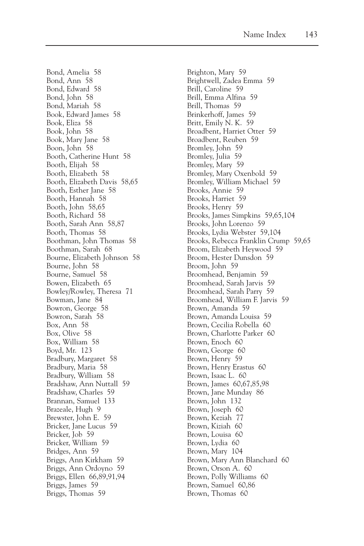Bond, Amelia 58 Bond, Ann 58 Bond, Edward 58 Bond, John 58 Bond, Mariah 58 Book, Edward James 58 Book, Eliza 58 Book, John 58 Book, Mary Jane 58 Boon, John 58 Booth, Catherine Hunt 58 Booth, Elijah 58 Booth, Elizabeth 58 Booth, Elizabeth Davis 58,65 Booth, Esther Jane 58 Booth, Hannah 58 Booth, John 58,65 Booth, Richard 58 Booth, Sarah Ann 58,87 Booth, Thomas 58 Boothman, John Thomas 58 Boothman, Sarah 68 Bourne, Elizabeth Johnson 58 Bourne, John 58 Bourne, Samuel 58 Bowen, Elizabeth 65 Bowley/Rowley, Theresa 71 Bowman, Jane 84 Bowron, George 58 Bowron, Sarah 58 Box, Ann 58 Box, Olive 58 Box, William 58 Boyd, Mr. 123 Bradbury, Margaret 58 Bradbury, Maria 58 Bradbury, William 58 Bradshaw, Ann Nuttall 59 Bradshaw, Charles 59 Brannan, Samuel 133 Brazeale, Hugh 9 Brewster, John E. 59 Bricker, Jane Lucus 59 Bricker, Job 59 Bricker, William 59 Bridges, Ann 59 Briggs, Ann Kirkham 59 Briggs, Ann Ordoyno 59 Briggs, Ellen 66,89,91,94 Briggs, James 59 Briggs, Thomas 59

Brighton, Mary 59 Brightwell, Zadea Emma 59 Brill, Caroline 59 Brill, Emma Alfina 59 Brill, Thomas 59 Brinkerhoff, James 59 Britt, Emily N. K. 59 Broadbent, Harriet Otter 59 Broadbent, Reuben 59 Bromley, John 59 Bromley, Julia 59 Bromley, Mary 59 Bromley, Mary Oxenbold 59 Bromley, William Michael 59 Brooks, Annie 59 Brooks, Harriet 59 Brooks, Henry 59 Brooks, James Simpkins 59,65,104 Brooks, John Lorenzo 59 Brooks, Lydia Webster 59,104 Brooks, Rebecca Franklin Crump 59,65 Broom, Elizabeth Heywood 59 Broom, Hester Dunsdon 59 Broom, John 59 Broomhead, Benjamin 59 Broomhead, Sarah Jarvis 59 Broomhead, Sarah Parry 59 Broomhead, William F. Jarvis 59 Brown, Amanda 59 Brown, Amanda Louisa 59 Brown, Cecilia Robella 60 Brown, Charlotte Parker 60 Brown, Enoch 60 Brown, George 60 Brown, Henry 59 Brown, Henry Erastus 60 Brown, Isaac L. 60 Brown, James 60,67,85,98 Brown, Jane Munday 86 Brown, John 132 Brown, Joseph 60 Brown, Keziah 77 Brown, Kiziah 60 Brown, Louisa 60 Brown, Lydia 60 Brown, Mary 104 Brown, Mary Ann Blanchard 60 Brown, Orson A. 60 Brown, Polly Williams 60 Brown, Samuel 60,86 Brown, Thomas 60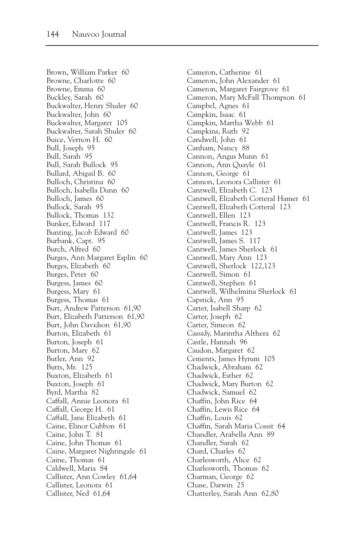Brown, William Parker 60 Browne, Charlotte 60 Browne, Emma 60 Buckley, Sarah 60 Buckwalter, Henry Shuler 60 Buckwalter, John 60 Buckwalter, Margaret 105 Buckwalter, Sarah Shuler 60 Buice, Vernon H. 60 Bull, Joseph 95 Bull, Sarah 95 Bull, Sarah Bullock 95 Bullard, Abigail B. 60 Bulloch, Christina 60 Bulloch, Isabella Dunn 60 Bulloch, James 60 Bullock, Sarah 95 Bullock, Thomas 132 Bunker, Edward 117 Bunting, Jacob Edward 60 Burbank, Capt. 95 Burch, Alfred 60 Burges, Ann Margaret Esplin 60 Burges, Elizabeth 60 Burges, Peter 60 Burgess, James 60 Burgess, Mary 61 Burgess, Thomas 61 Burt, Andrew Patterson 61,90 Burt, Elizabeth Patterson 61,90 Burt, John Davidson 61,90 Burton, Elizabeth 61 Burton, Joseph 61 Burton, Mary 62 Butler, Ann 92 Butts, Mr. 125 Buxton, Elizabeth 61 Buxton, Joseph 61 Byrd, Martha 82 Caffall, Annie Leonora 61 Caffall, George H. 61 Caffall, Jane Elizabeth 61 Caine, Elinor Cubbon 61 Caine, John T. 81 Caine, John Thomas 61 Caine, Margaret Nightingale 61 Caine, Thomas 61 Caldwell, Maria 84 Callister, Ann Cowley 61,64 Callister, Leonora 61 Callister, Ned 61,64

Cameron, Catherine 61 Cameron, John Alexander 61 Cameron, Margaret Fairgrove 61 Cameron, Mary McFall Thompson 61 Campbel, Agnes 61 Campkin, Isaac 61 Campkin, Martha Webb 61 Campkins, Ruth 92 Candwell, John 61 Canham, Nancy 88 Cannon, Angus Munn 61 Cannon, Ann Quayle 61 Cannon, George 61 Cannon, Leonora Callister 61 Cantwell, Elizabeth C. 123 Cantwell, Elizabeth Cotteral Hamer 61 Cantwell, Elizabeth Cotteral 123 Cantwell, Ellen 123 Cantwell, Francis R. 123 Cantwell, James 123 Cantwell, James S. 117 Cantwell, James Sherlock 61 Cantwell, Mary Ann 123 Cantwell, Sherlock 122,123 Cantwell, Simon 61 Cantwell, Stephen 61 Cantwell, Wilhelmina Sherlock 61 Capstick, Ann 95 Carter, Isabell Sharp 62 Carter, Joseph 62 Carter, Simeon 62 Cassidy, Marintha Althera 62 Castle, Hannah 96 Caudon, Margaret 62 Cements, James Hyrum 105 Chadwick, Abraham 62 Chadwick, Esther 62 Chadwick, Mary Burton 62 Chadwick, Samuel 62 Chaffin, John Rice 64 Chaffin, Lewis Rice 64 Chaffin, Louis 62 Chaffin, Sarah Maria Cossit 64 Chandler, Arabella Ann 89 Chandler, Sarah 62 Chard, Charles 62 Charlesworth, Alice 62 Charlesworth, Thomas 62 Charman, George 62 Chase, Darwin 25 Chatterley, Sarah Ann 62,80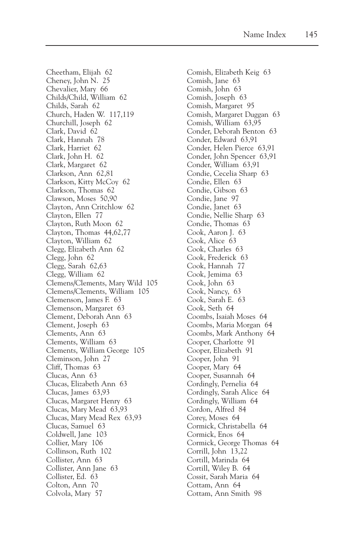Cheetham, Elijah 62 Cheney, John N. 25 Chevalier, Mary 66 Childs/Child, William 62 Childs, Sarah 62 Church, Haden W. 117,119 Churchill, Joseph 62 Clark, David 62 Clark, Hannah 78 Clark, Harriet 62 Clark, John H. 62 Clark, Margaret 62 Clarkson, Ann 62,81 Clarkson, Kitty McCoy 62 Clarkson, Thomas 62 Clawson, Moses 50,90 Clayton, Ann Critchlow 62 Clayton, Ellen 77 Clayton, Ruth Moon 62 Clayton, Thomas 44,62,77 Clayton, William 62 Clegg, Elizabeth Ann 62 Clegg, John 62 Clegg, Sarah 62,63 Clegg, William 62 Clemens/Clements, Mary Wild 105 Clemens/Clements, William 105 Clemenson, James F. 63 Clemenson, Margaret 63 Clement, Deborah Ann 63 Clement, Joseph 63 Clements, Ann 63 Clements, William 63 Clements, William George 105 Cleminson, John 27 Cliff, Thomas 63 Clucas, Ann 63 Clucas, Elizabeth Ann 63 Clucas, James 63,93 Clucas, Margaret Henry 63 Clucas, Mary Mead 63,93 Clucas, Mary Mead Rex 63,93 Clucas, Samuel 63 Coldwell, Jane 103 Collier, Mary 106 Collinson, Ruth 102 Collister, Ann 63 Collister, Ann Jane 63 Collister, Ed. 63 Colton, Ann 70 Colvola, Mary 57

Comish, Elizabeth Keig 63 Comish, Jane 63 Comish, John 63 Comish, Joseph 63 Comish, Margaret 95 Comish, Margaret Duggan 63 Comish, William 63,95 Conder, Deborah Benton 63 Conder, Edward 63,91 Conder, Helen Pierce 63,91 Conder, John Spencer 63,91 Conder, William 63,91 Condie, Cecelia Sharp 63 Condie, Ellen 63 Condie, Gibson 63 Condie, Jane 97 Condie, Janet 63 Condie, Nellie Sharp 63 Condie, Thomas 63 Cook, Aaron J. 63 Cook, Alice 63 Cook, Charles 63 Cook, Frederick 63 Cook, Hannah 77 Cook, Jemima 63 Cook, John 63 Cook, Nancy, 63 Cook, Sarah E. 63 Cook, Seth 64 Coombs, Isaiah Moses 64 Coombs, Maria Morgan 64 Coombs, Mark Anthony 64 Cooper, Charlotte 91 Cooper, Elizabeth 91 Cooper, John 91 Cooper, Mary 64 Cooper, Susannah 64 Cordingly, Pernelia 64 Cordingly, Sarah Alice 64 Cordingly, William 64 Cordon, Alfred 84 Corey, Moses 64 Cormick, Christabella 64 Cormick, Enos 64 Cormick, George Thomas 64 Corrill, John 13,22 Cortill, Marinda 64 Cortill, Wiley B. 64 Cossit, Sarah Maria 64 Cottam, Ann 64 Cottam, Ann Smith 98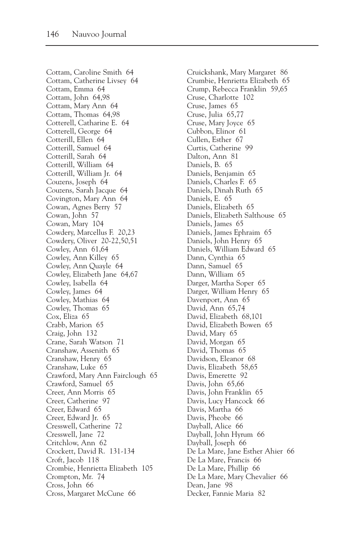Cottam, Caroline Smith 64 Cottam, Catherine Livsey 64 Cottam, Emma 64 Cottam, John 64,98 Cottam, Mary Ann 64 Cottam, Thomas 64,98 Cotterell, Catharine E. 64 Cotterell, George 64 Cotterill, Ellen 64 Cotterill, Samuel 64 Cotterill, Sarah 64 Cotterill, William 64 Cotterill, William Jr. 64 Couzens, Joseph 64 Couzens, Sarah Jacque 64 Covington, Mary Ann 64 Cowan, Agnes Berry 57 Cowan, John 57 Cowan, Mary 104 Cowdery, Marcellus F. 20,23 Cowdery, Oliver 20-22,50,51 Cowley, Ann 61,64 Cowley, Ann Killey 65 Cowley, Ann Quayle 64 Cowley, Elizabeth Jane 64,67 Cowley, Isabella 64 Cowley, James 64 Cowley, Mathias 64 Cowley, Thomas 65 Cox, Eliza 65 Crabb, Marion 65 Craig, John 132 Crane, Sarah Watson 71 Cranshaw, Assenith 65 Cranshaw, Henry 65 Cranshaw, Luke 65 Crawford, Mary Ann Fairclough 65 Crawford, Samuel 65 Creer, Ann Morris 65 Creer, Catherine 97 Creer, Edward 65 Creer, Edward Jr. 65 Cresswell, Catherine 72 Cresswell, Jane 72 Critchlow, Ann 62 Crockett, David R. 131-134 Croft, Jacob 118 Crombie, Henrietta Elizabeth 105 Crompton, Mr. 74 Cross, John 66 Cross, Margaret McCune 66

Cruickshank, Mary Margaret 86 Crumbie, Henrietta Elizabeth 65 Crump, Rebecca Franklin 59,65 Cruse, Charlotte 102 Cruse, James 65 Cruse, Julia 65,77 Cruse, Mary Joyce 65 Cubbon, Elinor 61 Cullen, Esther 67 Curtis, Catherine 99 Dalton, Ann 81 Daniels, B. 65 Daniels, Benjamin 65 Daniels, Charles F. 65 Daniels, Dinah Ruth 65 Daniels, E. 65 Daniels, Elizabeth 65 Daniels, Elizabeth Salthouse 65 Daniels, James 65 Daniels, James Ephraim 65 Daniels, John Henry 65 Daniels, William Edward 65 Dann, Cynthia 65 Dann, Samuel 65 Dann, William 65 Darger, Martha Soper 65 Darger, William Henry 65 Davenport, Ann 65 David, Ann 65,74 David, Elizabeth 68,101 David, Elizabeth Bowen 65 David, Mary 65 David, Morgan 65 David, Thomas 65 Davidson, Eleanor 68 Davis, Elizabeth 58,65 Davis, Emerette 92 Davis, John 65,66 Davis, John Franklin 65 Davis, Lucy Hancock 66 Davis, Martha 66 Davis, Pheobe 66 Dayball, Alice 66 Dayball, John Hyrum 66 Dayball, Joseph 66 De La Mare, Jane Esther Ahier 66 De La Mare, Francis 66 De La Mare, Phillip 66 De La Mare, Mary Chevalier 66 Dean, Jane 98 Decker, Fannie Maria 82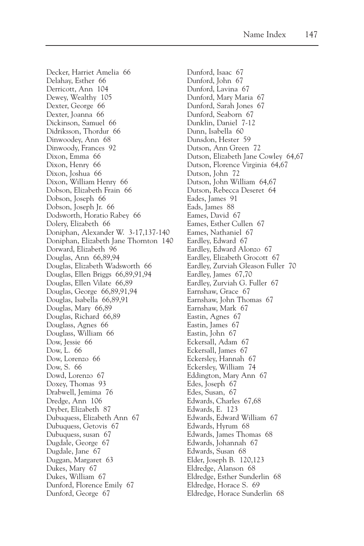Decker, Harriet Amelia 66 Delahay, Esther 66 Derricott, Ann 104 Dewey, Wealthy 105 Dexter, George 66 Dexter, Joanna 66 Dickinson, Samuel 66 Didriksson, Thordur 66 Dinwoodey, Ann 68 Dinwoody, Frances 92 Dixon, Emma 66 Dixon, Henry 66 Dixon, Joshua 66 Dixon, William Henry 66 Dobson, Elizabeth Frain 66 Dobson, Joseph 66 Dobson, Joseph Jr. 66 Dodsworth, Horatio Rabey 66 Dolery, Elizabeth 66 Doniphan, Alexander W. 3-17,137-140 Doniphan, Elizabeth Jane Thornton 140 Dorward, Elizabeth 96 Douglas, Ann 66,89,94 Douglas, Elizabeth Wadsworth 66 Douglas, Ellen Briggs 66,89,91,94 Douglas, Ellen Vilate 66,89 Douglas, George 66,89,91,94 Douglas, Isabella 66,89,91 Douglas, Mary 66,89 Douglas, Richard 66,89 Douglass, Agnes 66 Douglass, William 66 Dow, Jessie 66 Dow, L. 66 Dow, Lorenzo 66 Dow, S. 66 Dowd, Lorenzo 67 Doxey, Thomas 93 Drabwell, Jemima 76 Dredge, Ann 106 Dryber, Elizabeth 87 Dubuquess, Elizabeth Ann 67 Dubuquess, Getovis 67 Dubuquess, susan 67 Dugdale, George 67 Dugdale, Jane 67 Duggan, Margaret 63 Dukes, Mary 67 Dukes, William 67 Dunford, Florence Emily 67 Dunford, George 67

Dunford, Isaac 67 Dunford, John 67 Dunford, Lavina 67 Dunford, Mary Maria 67 Dunford, Sarah Jones 67 Dunford, Seaborn 67 Dunklin, Daniel 7-12 Dunn, Isabella 60 Dunsdon, Hester 59 Dutson, Ann Green 72 Dutson, Elizabeth Jane Cowley 64,67 Dutson, Florence Virginia 64,67 Dutson, John 72 Dutson, John William 64,67 Dutson, Rebecca Deseret 64 Eades, James 91 Eads, James 88 Eames, David 67 Eames, Esther Cullen 67 Eames, Nathaniel 67 Eardley, Edward 67 Eardley, Edward Alonzo 67 Eardley, Elizabeth Grocott 67 Eardley, Zurviah Gleason Fuller 70 Eardley, James 67,70 Eardley, Zurviah G. Fuller 67 Earnshaw, Grace 67 Earnshaw, John Thomas 67 Earnshaw, Mark 67 Eastin, Agnes 67 Eastin, James 67 Eastin, John 67 Eckersall, Adam 67 Eckersall, James 67 Eckersley, Hannah 67 Eckersley, William 74 Eddington, Mary Ann 67 Edes, Joseph 67 Edes, Susan, 67 Edwards, Charles 67,68 Edwards, E. 123 Edwards, Edward William 67 Edwards, Hyrum 68 Edwards, James Thomas 68 Edwards, Johannah 67 Edwards, Susan 68 Elder, Joseph B. 120,123 Eldredge, Alanson 68 Eldredge, Esther Sunderlin 68 Eldredge, Horace S. 69 Eldredge, Horace Sunderlin 68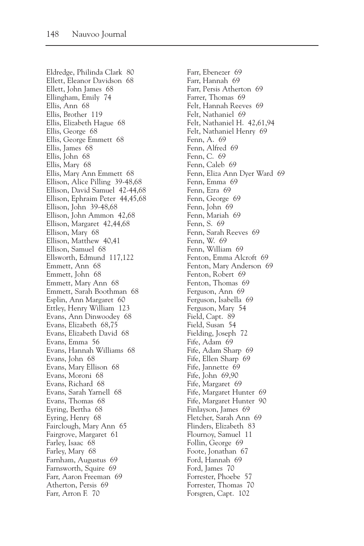Eldredge, Philinda Clark 80 Ellett, Eleanor Davidson 68 Ellett, John James 68 Ellingham, Emily 74 Ellis, Ann 68 Ellis, Brother 119 Ellis, Elizabeth Hague 68 Ellis, George 68 Ellis, George Emmett 68 Ellis, James 68 Ellis, John 68 Ellis, Mary 68 Ellis, Mary Ann Emmett 68 Ellison, Alice Pilling 39-48,68 Ellison, David Samuel 42-44,68 Ellison, Ephraim Peter 44,45,68 Ellison, John 39-48,68 Ellison, John Ammon 42,68 Ellison, Margaret 42,44,68 Ellison, Mary 68 Ellison, Matthew 40,41 Ellison, Samuel 68 Ellsworth, Edmund 117,122 Emmett, Ann 68 Emmett, John 68 Emmett, Mary Ann 68 Emmett, Sarah Boothman 68 Esplin, Ann Margaret 60 Ettley, Henry William 123 Evans, Ann Dinwoodey 68 Evans, Elizabeth 68,75 Evans, Elizabeth David 68 Evans, Emma 56 Evans, Hannah Williams 68 Evans, John 68 Evans, Mary Ellison 68 Evans, Moroni 68 Evans, Richard 68 Evans, Sarah Yarnell 68 Evans, Thomas 68 Eyring, Bertha 68 Eyring, Henry 68 Fairclough, Mary Ann 65 Fairgrove, Margaret 61 Farley, Isaac 68 Farley, Mary 68 Farnham, Augustus 69 Farnsworth, Squire 69 Farr, Aaron Freeman 69 Atherton, Persis 69 Farr, Arron F. 70

Farr, Ebenezer 69 Farr, Hannah 69 Farr, Persis Atherton 69 Farrer, Thomas 69 Felt, Hannah Reeves 69 Felt, Nathaniel 69 Felt, Nathaniel H. 42,61,94 Felt, Nathaniel Henry 69 Fenn, A. 69 Fenn, Alfred 69 Fenn, C. 69 Fenn, Caleb 69 Fenn, Eliza Ann Dyer Ward 69 Fenn, Emma 69 Fenn, Ezra 69 Fenn, George 69 Fenn, John 69 Fenn, Mariah 69 Fenn, S. 69 Fenn, Sarah Reeves 69 Fenn, W. 69 Fenn, William 69 Fenton, Emma Alcroft 69 Fenton, Mary Anderson 69 Fenton, Robert 69 Fenton, Thomas 69 Ferguson, Ann 69 Ferguson, Isabella 69 Ferguson, Mary 54 Field, Capt. 89 Field, Susan 54 Fielding, Joseph 72 Fife, Adam 69 Fife, Adam Sharp 69 Fife, Ellen Sharp 69 Fife, Jannette 69 Fife, John 69,90 Fife, Margaret 69 Fife, Margaret Hunter 69 Fife, Margaret Hunter 90 Finlayson, James 69 Fletcher, Sarah Ann 69 Flinders, Elizabeth 83 Flournoy, Samuel 11 Follin, George 69 Foote, Jonathan 67 Ford, Hannah 69 Ford, James 70 Forrester, Phoebe 57 Forrester, Thomas 70 Forsgren, Capt. 102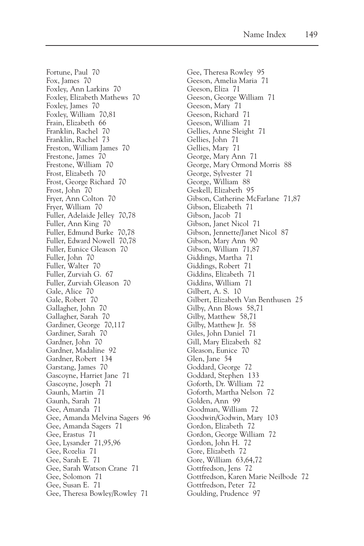Fortune, Paul 70 Fox, James 70 Foxley, Ann Larkins 70 Foxley, Elizabeth Mathews 70 Foxley, James 70 Foxley, William 70,81 Frain, Elizabeth 66 Franklin, Rachel 70 Franklin, Rachel 73 Freston, William James 70 Frestone, James 70 Frestone, William 70 Frost, Elizabeth 70 Frost, George Richard 70 Frost, John 70 Fryer, Ann Colton 70 Fryer, William 70 Fuller, Adelaide Jelley 70,78 Fuller, Ann King 70 Fuller, Edmund Burke 70,78 Fuller, Edward Nowell 70,78 Fuller, Eunice Gleason 70 Fuller, John 70 Fuller, Walter 70 Fuller, Zurviah G. 67 Fuller, Zurviah Gleason 70 Gale, Alice 70 Gale, Robert 70 Gallagher, John 70 Gallagher, Sarah 70 Gardiner, George 70,117 Gardiner, Sarah 70 Gardner, John 70 Gardner, Madaline 92 Gardner, Robert 134 Garstang, James 70 Gascoyne, Harriet Jane 71 Gascoyne, Joseph 71 Gaunh, Martin 71 Gaunh, Sarah 71 Gee, Amanda 71 Gee, Amanda Melvina Sagers 96 Gee, Amanda Sagers 71 Gee, Erastus 71 Gee, Lysander 71,95,96 Gee, Rozelia 71 Gee, Sarah E. 71 Gee, Sarah Watson Crane 71 Gee, Solomon 71 Gee, Susan E. 71 Gee, Theresa Bowley/Rowley 71

Gee, Theresa Rowley 95 Geeson, Amelia Maria 71 Geeson, Eliza 71 Geeson, George William 71 Geeson, Mary 71 Geeson, Richard 71 Geeson, William 71 Gellies, Anne Sleight 71 Gellies, John 71 Gellies, Mary 71 George, Mary Ann 71 George, Mary Ormond Morris 88 George, Sylvester 71 George, William 88 Geskell, Elizabeth 95 Gibson, Catherine McFarlane 71,87 Gibson, Elizabeth 71 Gibson, Jacob 71 Gibson, Janet Nicol 71 Gibson, Jennette/Janet Nicol 87 Gibson, Mary Ann 90 Gibson, William 71,87 Giddings, Martha 71 Giddings, Robert 71 Giddins, Elizabeth 71 Giddins, William 71 Gilbert, A. S. 10 Gilbert, Elizabeth Van Benthusen 25 Gilby, Ann Blows 58,71 Gilby, Matthew 58,71 Gilby, Matthew Jr. 58 Giles, John Daniel 71 Gill, Mary Elizabeth 82 Gleason, Eunice 70 Glen, Jane 54 Goddard, George 72 Goddard, Stephen 133 Goforth, Dr. William 72 Goforth, Martha Nelson 72 Golden, Ann 99 Goodman, William 72 Goodwin/Godwin, Mary 103 Gordon, Elizabeth 72 Gordon, George William 72 Gordon, John H. 72 Gore, Elizabeth 72 Gore, William 63,64,72 Gottfredson, Jens 72 Gottfredson, Karen Marie Neilbode 72 Gottfredson, Peter 72 Goulding, Prudence 97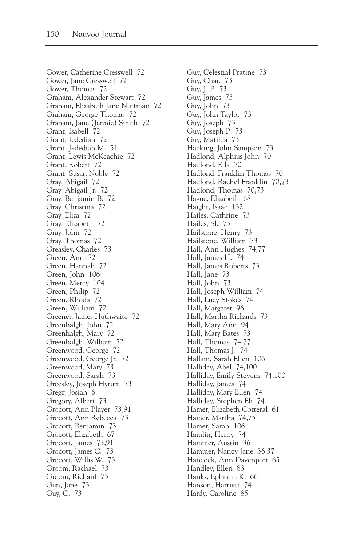Gower, Catherine Cresswell 72 Gower, Jane Cresswell 72 Gower, Thomas 72 Graham, Alexander Stewart 72 Graham, Elizabeth Jane Nuttman 72 Graham, George Thomas 72 Graham, Jane (Jennie) Smith 72 Grant, Isabell 72 Grant, Jedediah 72 Grant, Jedediah M. 51 Grant, Lewis McKeachie 72 Grant, Robert 72 Grant, Susan Noble 72 Gray, Abigail 72 Gray, Abigail Jr. 72 Gray, Benjamin B. 72 Gray, Christina 72 Gray, Eliza 72 Gray, Elizabeth 72 Gray, John 72 Gray, Thomas 72 Greasley, Charles 73 Green, Ann 72 Green, Hannah 72 Green, John 106 Green, Mercy 104 Green, Philip 72 Green, Rhoda 72 Green, William 72 Greener, James Huthwaite 72 Greenhalgh, John 72 Greenhalgh, Mary 72 Greenhalgh, William 72 Greenwood, George 72 Greenwood, George Jr. 72 Greenwood, Mary 73 Greenwood, Sarah 73 Greesley, Joseph Hyrum 73 Gregg, Josiah 6 Gregory, Albert 73 Grocott, Ann Player 73,91 Grocott, Ann Rebecca 73 Grocott, Benjamin 73 Grocott, Elizabeth 67 Grocott, James 73,91 Grocott, James C. 73 Grocott, Willis W. 73 Groom, Rachael 73 Groom, Richard 73 Gun, Jane 73 Guy, C. 73

Guy, Celestial Pratine 73 Guy, Char. 73 Guy, J. P. 73 Guy, James 73 Guy, John 73 Guy, John Taylor 73 Guy, Joseph 73 Guy, Joseph P. 73 Guy, Matilda 73 Hacking, John Sampson 73 Hadlond, Alphius John 70 Hadlond, Ella 70 Hadlond, Franklin Thomas 70 Hadlond, Rachel Franklin 70,73 Hadlond, Thomas 70,73 Hague, Elizabeth 68 Haight, Isaac 132 Hailes, Cathrine 73 Hailes, Sl. 73 Hailstone, Henry 73 Hailstone, William 73 Hall, Ann Hughes 74,77 Hall, James H. 74 Hall, James Roberts 73 Hall, Jane 73 Hall, John 73 Hall, Joseph William 74 Hall, Lucy Stokes 74 Hall, Margaret 96 Hall, Martha Richards 73 Hall, Mary Ann 94 Hall, Mary Bates 73 Hall, Thomas 74,77 Hall, Thomas J. 74 Hallam, Sarah Ellen 106 Halliday, Abel 74,100 Halliday, Emily Stevens 74,100 Halliday, James 74 Halliday, Mary Ellen 74 Halliday, Stephen Eli 74 Hamer, Elizabeth Cotteral 61 Hamer, Martha 74,75 Hamer, Sarah 106 Hamlin, Henry 74 Hammer, Austin 36 Hammer, Nancy Jane 36,37 Hancock, Ann Davenport 65 Handley, Ellen 83 Hanks, Ephraim K. 66 Hanson, Harriett 74 Hardy, Caroline 85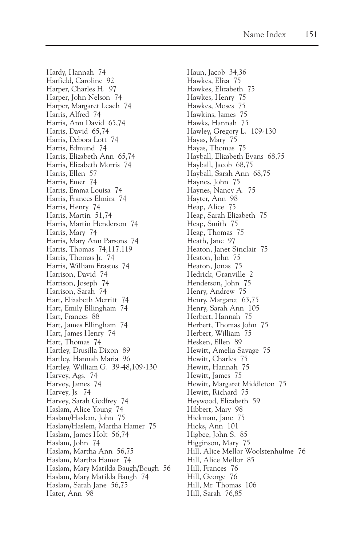Hardy, Hannah 74 Harfield, Caroline 92 Harper, Charles H. 97 Harper, John Nelson 74 Harper, Margaret Leach 74 Harris, Alfred 74 Harris, Ann David 65,74 Harris, David 65,74 Harris, Debora Lott 74 Harris, Edmund 74 Harris, Elizabeth Ann 65,74 Harris, Elizabeth Morris 74 Harris, Ellen 57 Harris, Emer 74 Harris, Emma Louisa 74 Harris, Frances Elmira 74 Harris, Henry 74 Harris, Martin 51,74 Harris, Martin Henderson 74 Harris, Mary 74 Harris, Mary Ann Parsons 74 Harris, Thomas 74,117,119 Harris, Thomas Jr. 74 Harris, William Erastus 74 Harrison, David 74 Harrison, Joseph 74 Harrison, Sarah 74 Hart, Elizabeth Merritt 74 Hart, Emily Ellingham 74 Hart, Frances 88 Hart, James Ellingham 74 Hart, James Henry 74 Hart, Thomas 74 Hartley, Drusilla Dixon 89 Hartley, Hannah Maria 96 Hartley, William G. 39-48,109-130 Harvey, Ags. 74 Harvey, James 74 Harvey, Js. 74 Harvey, Sarah Godfrey 74 Haslam, Alice Young 74 Haslam/Haslem, John 75 Haslam/Haslem, Martha Hamer 75 Haslam, James Holt 56,74 Haslam, John 74 Haslam, Martha Ann 56,75 Haslam, Martha Hamer 74 Haslam, Mary Matilda Baugh/Bough 56 Haslam, Mary Matilda Baugh 74 Haslam, Sarah Jane 56,75 Hater, Ann 98

Haun, Jacob 34,36 Hawkes, Eliza 75 Hawkes, Elizabeth 75 Hawkes, Henry 75 Hawkes, Moses 75 Hawkins, James 75 Hawks, Hannah 75 Hawley, Gregory L. 109-130 Hayas, Mary 75 Hayas, Thomas 75 Hayball, Elizabeth Evans 68,75 Hayball, Jacob 68,75 Hayball, Sarah Ann 68,75 Haynes, John 75 Haynes, Nancy A. 75 Hayter, Ann 98 Heap, Alice 75 Heap, Sarah Elizabeth 75 Heap, Smith 75 Heap, Thomas 75 Heath, Jane 97 Heaton, Janet Sinclair 75 Heaton, John 75 Heaton, Jonas 75 Hedrick, Granville 2 Henderson, John 75 Henry, Andrew 75 Henry, Margaret 63,75 Henry, Sarah Ann 105 Herbert, Hannah 75 Herbert, Thomas John 75 Herbert, William 75 Hesken, Ellen 89 Hewitt, Amelia Savage 75 Hewitt, Charles 75 Hewitt, Hannah 75 Hewitt, James 75 Hewitt, Margaret Middleton 75 Hewitt, Richard 75 Heywood, Elizabeth 59 Hibbert, Mary 98 Hickman, Jane 75 Hicks, Ann 101 Higbee, John S. 85 Higginson, Mary 75 Hill, Alice Mellor Woolstenhulme 76 Hill, Alice Mellor 85 Hill, Frances 76 Hill, George 76 Hill, Mr. Thomas 106 Hill, Sarah 76,85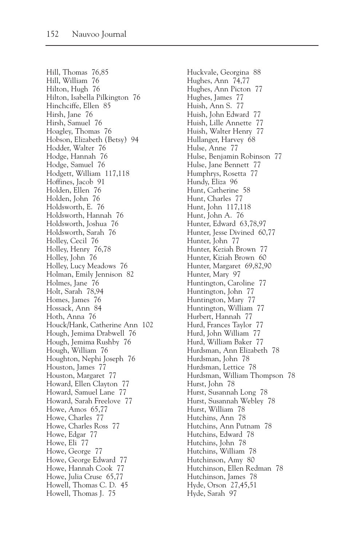Hill, Thomas 76,85 Hill, William 76 Hilton, Hugh 76 Hilton, Isabella Pilkington 76 Hinchciffe, Ellen 85 Hirsh, Jane 76 Hirsh, Samuel 76 Hoagley, Thomas 76 Hobson, Elizabeth (Betsy) 94 Hodder, Walter 76 Hodge, Hannah 76 Hodge, Samuel 76 Hodgett, William 117,118 Hoffines, Jacob 91 Holden, Ellen 76 Holden, John 76 Holdsworth, E. 76 Holdsworth, Hannah 76 Holdsworth, Joshua 76 Holdsworth, Sarah 76 Holley, Cecil 76 Holley, Henry 76,78 Holley, John 76 Holley, Lucy Meadows 76 Holman, Emily Jennison 82 Holmes, Jane 76 Holt, Sarah 78,94 Homes, James 76 Hossack, Ann 84 Hoth, Anna 76 Houck/Hank, Catherine Ann 102 Hough, Jemima Drabwell 76 Hough, Jemima Rushby 76 Hough, William 76 Houghton, Nephi Joseph 76 Houston, James 77 Houston, Margaret 77 Howard, Ellen Clayton 77 Howard, Samuel Lane 77 Howard, Sarah Freelove 77 Howe, Amos 65,77 Howe, Charles 77 Howe, Charles Ross 77 Howe, Edgar 77 Howe, Eli 77 Howe, George 77 Howe, George Edward 77 Howe, Hannah Cook 77 Howe, Julia Cruse 65,77 Howell, Thomas C. D. 45 Howell, Thomas J. 75

Huckvale, Georgina 88 Hughes, Ann 74,77 Hughes, Ann Picton 77 Hughes, James 77 Huish, Ann S. 77 Huish, John Edward 77 Huish, Lille Annette 77 Huish, Walter Henry 77 Hullanger, Harvey 68 Hulse, Anne 77 Hulse, Benjamin Robinson 77 Hulse, Jane Bennett 77 Humphrys, Rosetta 77 Hundy, Eliza 96 Hunt, Catherine 58 Hunt, Charles 77 Hunt, John 117,118 Hunt, John A. 76 Hunter, Edward 63,78,97 Hunter, Jesse Divined 60,77 Hunter, John 77 Hunter, Keziah Brown 77 Hunter, Kiziah Brown 60 Hunter, Margaret 69,82,90 Hunter, Mary 97 Huntington, Caroline 77 Huntington, John 77 Huntington, Mary 77 Huntington, William 77 Hurbert, Hannah 77 Hurd, Frances Taylor 77 Hurd, John William 77 Hurd, William Baker 77 Hurdsman, Ann Elizabeth 78 Hurdsman, John 78 Hurdsman, Lettice 78 Hurdsman, William Thompson 78 Hurst, John 78 Hurst, Susannah Long 78 Hurst, Susannah Webley 78 Hurst, William 78 Hutchins, Ann 78 Hutchins, Ann Putnam 78 Hutchins, Edward 78 Hutchins, John 78 Hutchins, William 78 Hutchinson, Amy 80 Hutchinson, Ellen Redman 78 Hutchinson, James 78 Hyde, Orson 27,45,51 Hyde, Sarah 97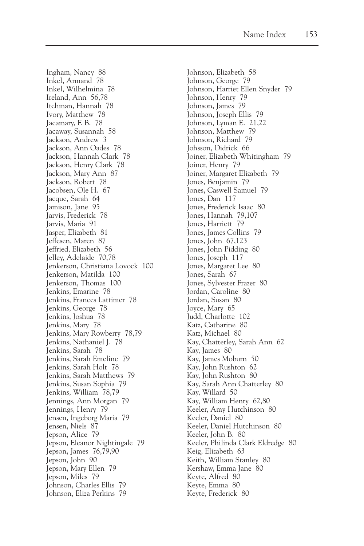Ingham, Nancy 88 Inkel, Armand 78 Inkel, Wilhelmina 78 Ireland, Ann 56,78 Itchman, Hannah 78 Ivory, Matthew 78 Jacamary, F. B. 78 Jacaway, Susannah 58 Jackson, Andrew 3 Jackson, Ann Oades 78 Jackson, Hannah Clark 78 Jackson, Henry Clark 78 Jackson, Mary Ann 87 Jackson, Robert 78 Jacobsen, Ole H. 67 Jacque, Sarah 64 Jamison, Jane 95 Jarvis, Frederick 78 Jarvis, Maria 91 Jasper, Elizabeth 81 Jeffesen, Maren 87 Jeffried, Elizabeth 56 Jelley, Adelaide 70,78 Jenkerson, Christiana Lovock 100 Jenkerson, Matilda 100 Jenkerson, Thomas 100 Jenkins, Emarine 78 Jenkins, Frances Lattimer 78 Jenkins, George 78 Jenkins, Joshua 78 Jenkins, Mary 78 Jenkins, Mary Rowberry 78,79 Jenkins, Nathaniel J. 78 Jenkins, Sarah 78 Jenkins, Sarah Emeline 79 Jenkins, Sarah Holt 78 Jenkins, Sarah Matthews 79 Jenkins, Susan Sophia 79 Jenkins, William 78,79 Jennings, Ann Morgan 79 Jennings, Henry 79 Jensen, Ingeborg Maria 79 Jensen, Niels 87 Jepson, Alice 79 Jepson, Eleanor Nightingale 79 Jepson, James 76,79,90 Jepson, John 90 Jepson, Mary Ellen 79 Jepson, Miles 79 Johnson, Charles Ellis 79 Johnson, Eliza Perkins 79

Johnson, Elizabeth 58 Johnson, George 79 Johnson, Harriet Ellen Snyder 79 Johnson, Henry 79 Johnson, James 79 Johnson, Joseph Ellis 79 Johnson, Lyman E. 21,22 Johnson, Matthew 79 Johnson, Richard 79 Johsson, Didrick 66 Joiner, Elizabeth Whitingham 79 Joiner, Henry 79 Joiner, Margaret Elizabeth 79 Jones, Benjamin 79 Jones, Caswell Samuel 79 Jones, Dan 117 Jones, Frederick Isaac 80 Jones, Hannah 79,107 Jones, Harriett 79 Jones, James Collins 79 Jones, John 67,123 Jones, John Pidding 80 Jones, Joseph 117 Jones, Margaret Lee 80 Jones, Sarah 67 Jones, Sylvester Frazer 80 Jordan, Caroline 80 Jordan, Susan 80 Joyce, Mary 65 Judd, Charlotte 102 Katz, Catharine 80 Katz, Michael 80 Kay, Chatterley, Sarah Ann 62 Kay, James 80 Kay, James Moburn 50 Kay, John Rushton 62 Kay, John Rushton 80 Kay, Sarah Ann Chatterley 80 Kay, Willard 50 Kay, William Henry 62,80 Keeler, Amy Hutchinson 80 Keeler, Daniel 80 Keeler, Daniel Hutchinson 80 Keeler, John B. 80 Keeler, Philinda Clark Eldredge 80 Keig, Elizabeth 63 Keith, William Stanley 80 Kershaw, Emma Jane 80 Keyte, Alfred 80 Keyte, Emma 80 Keyte, Frederick 80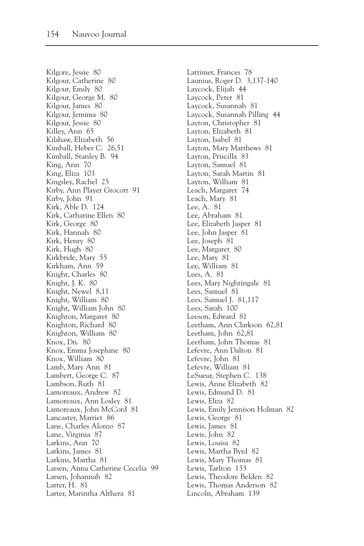Kilgore, Jessie 80 Kilgour, Catherine 80 Kilgour, Emily 80 Kilgour, George M. 80 Kilgour, James 80 Kilgour, Jemima 80 Kilgour, Jessie 80 Killey, Ann 65 Kilshaw, Elizabeth 56 Kimball, Heber C. 26,51 Kimball, Stanley B. 94 King, Ann 70 King, Eliza 103 Kingsley, Rachel 25 Kirby, Ann Player Grocott 91 Kirby, John 91 Kirk, Able D. 124 Kirk, Catharine Ellen 80 Kirk, George 80 Kirk, Hannah 80 Kirk, Henry 80 Kirk, Hugh 80 Kirkbride, Mary 55 Kirkham, Ann 59 Knight, Charles 80 Knight, J. K. 80 Knight, Newel 8,11 Knight, William 80 Knight, William John 80 Knighton, Margaret 80 Knighton, Richard 80 Knighton, William 80 Knox, Dn. 80 Knox, Emma Josephine 80 Knox, William 80 Lamb, Mary Ann 81 Lambert, George C. 87 Lambson, Ruth 81 Lamoreaux, Andrew 82 Lamoreaux, Ann Losley 81 Lamoreaux, John McCord 81 Lancaster, Marriet 86 Lane, Charles Alonzo 87 Lane, Virginia 87 Larkins, Ann 70 Larkins, James 81 Larkins, Martha 81 Larsen, Anna Catherine Cecelia 99 Larsen, Johannah 82 Larter, H. 81 Larter, Marintha Althera 81

Lattimer, Frances 78 Launius, Roger D. 3,137-140 Laycock, Elijah 44 Laycock, Peter 81 Laycock, Susannah 81 Laycock, Susannah Pilling 44 Layton, Christopher 81 Layton, Elizabeth 81 Layton, Isabel 81 Layton, Mary Matthews 81 Layton, Priscilla 83 Layton, Samuel 81 Layton, Sarah Martin 81 Layton, William 81 Leach, Margaret 74 Leach, Mary 81 Lee, A. 81 Lee, Abraham 81 Lee, Elizabeth Jasper 81 Lee, John Jasper 81 Lee, Joseph 81 Lee, Margaret 80 Lee, Mary 81 Lee, William 81 Lees, A. 81 Lees, Mary Nightingale 81 Lees, Samuel 81 Lees, Samuel J. 81,117 Lees, Sarah 100 Leeson, Edward 81 Leetham, Ann Clarkson 62,81 Leetham, John 62,81 Leetham, John Thomas 81 Lefevre, Ann Dalton 81 Lefevre, John 81 Lefevre, William 81 LeSueur, Stephen C. 138 Lewis, Anne Elizabeth 82 Lewis, Edmund D. 81 Lewis, Eliza 82 Lewis, Emily Jennison Holman 82 Lewis, George 81 Lewis, James 81 Lewis, John 82 Lewis, Louisa 82 Lewis, Martha Byrd 82 Lewis, Mary Thomas 81 Lewis, Tarlton 133 Lewis, Theodore Belden 82 Lewis, Thomas Anderson 82 Lincoln, Abraham 139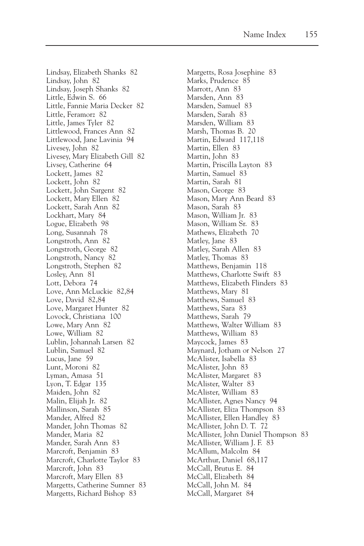Lindsay, Elizabeth Shanks 82 Lindsay, John 82 Lindsay, Joseph Shanks 82 Little, Edwin S. 66 Little, Fannie Maria Decker 82 Little, Feramorz 82 Little, James Tyler 82 Littlewood, Frances Ann 82 Littlewood, Jane Lavinia 94 Livesey, John 82 Livesey, Mary Elizabeth Gill 82 Livsey, Catherine 64 Lockett, James 82 Lockett, John 82 Lockett, John Sargent 82 Lockett, Mary Ellen 82 Lockett, Sarah Ann 82 Lockhart, Mary 84 Logue, Elizabeth 98 Long, Susannah 78 Longstroth, Ann 82 Longstroth, George 82 Longstroth, Nancy 82 Longstroth, Stephen 82 Losley, Ann 81 Lott, Debora 74 Love, Ann McLuckie 82,84 Love, David 82,84 Love, Margaret Hunter 82 Lovock, Christiana 100 Lowe, Mary Ann 82 Lowe, William 82 Lublin, Johannah Larsen 82 Lublin, Samuel 82 Lucus, Jane 59 Lunt, Moroni 82 Lyman, Amasa 51 Lyon, T. Edgar 135 Maiden, John 82 Malin, Elijah Jr. 82 Mallinson, Sarah 85 Mander, Alfred 82 Mander, John Thomas 82 Mander, Maria 82 Mander, Sarah Ann 83 Marcroft, Benjamin 83 Marcroft, Charlotte Taylor 83 Marcroft, John 83 Marcroft, Mary Ellen 83 Margetts, Catherine Sumner 83 Margetts, Richard Bishop 83

Margetts, Rosa Josephine 83 Marks, Prudence 85 Marrott, Ann 83 Marsden, Ann 83 Marsden, Samuel 83 Marsden, Sarah 83 Marsden, William 83 Marsh, Thomas B. 20 Martin, Edward 117,118 Martin, Ellen 83 Martin, John 83 Martin, Priscilla Layton 83 Martin, Samuel 83 Martin, Sarah 81 Mason, George 83 Mason, Mary Ann Beard 83 Mason, Sarah 83 Mason, William Jr. 83 Mason, William Sr. 83 Mathews, Elizabeth 70 Matley, Jane 83 Matley, Sarah Allen 83 Matley, Thomas 83 Matthews, Benjamin 118 Matthews, Charlotte Swift 83 Matthews, Elizabeth Flinders 83 Matthews, Mary 81 Matthews, Samuel 83 Matthews, Sara 83 Matthews, Sarah 79 Matthews, Walter William 83 Matthews, William 83 Maycock, James 83 Maynard, Jotham or Nelson 27 McAlister, Isabella 83 McAlister, John 83 McAlister, Margaret 83 McAlister, Walter 83 McAlister, William 83 McAllister, Agnes Nancy 94 McAllister, Eliza Thompson 83 McAllister, Ellen Handley 83 McAllister, John D. T. 72 McAllister, John Daniel Thompson 83 McAllister, William J. F. 83 McAllum, Malcolm 84 McArthur, Daniel 68,117 McCall, Brutus E. 84 McCall, Elizabeth 84 McCall, John M. 84 McCall, Margaret 84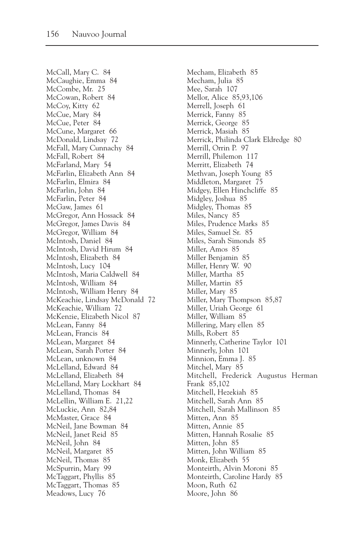McCall, Mary C. 84 McCaughie, Emma 84 McCombe, Mr. 25 McCowan, Robert 84 McCoy, Kitty 62 McCue, Mary 84 McCue, Peter 84 McCune, Margaret 66 McDonald, Lindsay 72 McFall, Mary Cunnachy 84 McFall, Robert 84 McFarland, Mary 54 McFarlin, Elizabeth Ann 84 McFarlin, Elmira 84 McFarlin, John 84 McFarlin, Peter 84 McGaw, James 61 McGregor, Ann Hossack 84 McGregor, James Davis 84 McGregor, William 84 McIntosh, Daniel 84 McIntosh, David Hirum 84 McIntosh, Elizabeth 84 McIntosh, Lucy 104 McIntosh, Maria Caldwell 84 McIntosh, William 84 McIntosh, William Henry 84 McKeachie, Lindsay McDonald 72 McKeachie, William 72 McKenzie, Elizabeth Nicol 87 McLean, Fanny 84 McLean, Francis 84 McLean, Margaret 84 McLean, Sarah Porter 84 McLean, unknown 84 McLelland, Edward 84 McLelland, Elizabeth 84 McLelland, Mary Lockhart 84 McLelland, Thomas 84 McLellin, William E. 21,22 McLuckie, Ann 82,84 McMaster, Grace 84 McNeil, Jane Bowman 84 McNeil, Janet Reid 85 McNeil, John 84 McNeil, Margaret 85 McNeil, Thomas 85 McSpurrin, Mary 99 McTaggart, Phyllis 85 McTaggart, Thomas 85 Meadows, Lucy 76

Mecham, Elizabeth 85 Mecham, Julia 85 Mee, Sarah 107 Mellor, Alice 85,93,106 Merrell, Joseph 61 Merrick, Fanny 85 Merrick, George 85 Merrick, Masiah 85 Merrick, Philinda Clark Eldredge 80 Merrill, Orrin P. 97 Merrill, Philemon 117 Merritt, Elizabeth 74 Methvan, Joseph Young 85 Middleton, Margaret 75 Midgey, Ellen Hinchcliffe 85 Midgley, Joshua 85 Midgley, Thomas 85 Miles, Nancy 85 Miles, Prudence Marks 85 Miles, Samuel Sr. 85 Miles, Sarah Simonds 85 Miller, Amos 85 Miller Benjamin 85 Miller, Henry W. 90 Miller, Martha 85 Miller, Martin 85 Miller, Mary 85 Miller, Mary Thompson 85,87 Miller, Uriah George 61 Miller, William 85 Millering, Mary ellen 85 Mills, Robert 85 Minnerly, Catherine Taylor 101 Minnerly, John 101 Minnion, Emma J. 85 Mitchel, Mary 85 Mitchell, Frederick Augustus Herman Frank 85,102 Mitchell, Hezekiah 85 Mitchell, Sarah Ann 85 Mitchell, Sarah Mallinson 85 Mitten, Ann 85 Mitten, Annie 85 Mitten, Hannah Rosalie 85 Mitten, John 85 Mitten, John William 85 Monk, Elizabeth 55 Monteirth, Alvin Moroni 85 Monteirth, Caroline Hardy 85 Moon, Ruth 62 Moore, John 86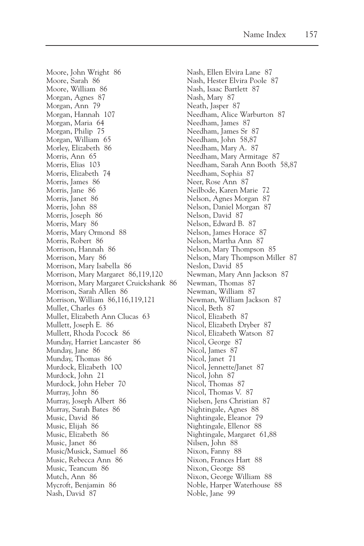Moore, John Wright 86 Moore, Sarah 86 Moore, William 86 Morgan, Agnes 87 Morgan, Ann 79 Morgan, Hannah 107 Morgan, Maria 64 Morgan, Philip 75 Morgan, William 65 Morley, Elizabeth 86 Morris, Ann 65 Morris, Elias 103 Morris, Elizabeth 74 Morris, James 86 Morris, Jane 86 Morris, Janet 86 Morris, John 88 Morris, Joseph 86 Morris, Mary 86 Morris, Mary Ormond 88 Morris, Robert 86 Morrison, Hannah 86 Morrison, Mary 86 Morrison, Mary Isabella 86 Morrison, Mary Margaret 86,119,120 Morrison, Mary Margaret Cruickshank 86 Morrison, Sarah Allen 86 Morrison, William 86,116,119,121 Mullet, Charles 63 Mullet, Elizabeth Ann Clucas 63 Mullett, Joseph E. 86 Mullett, Rhoda Pocock 86 Munday, Harriet Lancaster 86 Munday, Jane 86 Munday, Thomas 86 Murdock, Elizabeth 100 Murdock, John 21 Murdock, John Heber 70 Murray, John 86 Murray, Joseph Albert 86 Murray, Sarah Bates 86 Music, David 86 Music, Elijah 86 Music, Elizabeth 86 Music, Janet 86 Music/Musick, Samuel 86 Music, Rebecca Ann 86 Music, Teancum 86 Mutch, Ann 86 Mycroft, Benjamin 86 Nash, David 87

Nash, Ellen Elvira Lane 87 Nash, Hester Elvira Poole 87 Nash, Isaac Bartlett 87 Nash, Mary 87 Neath, Jasper 87 Needham, Alice Warburton 87 Needham, James 87 Needham, James Sr 87 Needham, John 58,87 Needham, Mary A. 87 Needham, Mary Armitage 87 Needham, Sarah Ann Booth 58,87 Needham, Sophia 87 Neer, Rose Ann 87 Neilbode, Karen Marie 72 Nelson, Agnes Morgan 87 Nelson, Daniel Morgan 87 Nelson, David 87 Nelson, Edward B. 87 Nelson, James Horace 87 Nelson, Martha Ann 87 Nelson, Mary Thompson 85 Nelson, Mary Thompson Miller 87 Neslon, David 85 Newman, Mary Ann Jackson 87 Newman, Thomas 87 Newman, William 87 Newman, William Jackson 87 Nicol, Beth 87 Nicol, Elizabeth 87 Nicol, Elizabeth Dryber 87 Nicol, Elizabeth Watson 87 Nicol, George 87 Nicol, James 87 Nicol, Janet 71 Nicol, Jennette/Janet 87 Nicol, John 87 Nicol, Thomas 87 Nicol, Thomas V. 87 Nielsen, Jens Christian 87 Nightingale, Agnes 88 Nightingale, Eleanor 79 Nightingale, Ellenor 88 Nightingale, Margaret 61,88 Nilsen, John 88 Nixon, Fanny 88 Nixon, Frances Hart 88 Nixon, George 88 Nixon, George William 88 Noble, Harper Waterhouse 88 Noble, Jane 99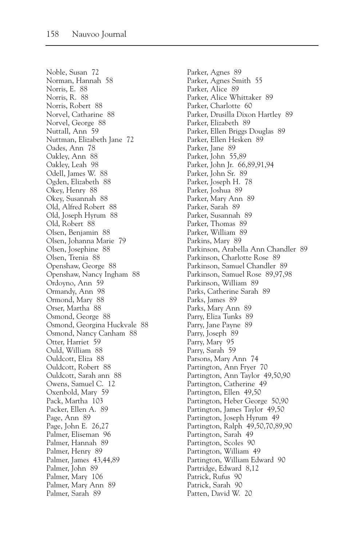Noble, Susan 72 Norman, Hannah 58 Norris, E. 88 Norris, R. 88 Norris, Robert 88 Norvel, Catharine 88 Norvel, George 88 Nuttall, Ann 59 Nuttman, Elizabeth Jane 72 Oades, Ann 78 Oakley, Ann 88 Oakley, Leah 98 Odell, James W. 88 Ogden, Elizabeth 88 Okey, Henry 88 Okey, Susannah 88 Old, Alfred Robert 88 Old, Joseph Hyrum 88 Old, Robert 88 Olsen, Benjamin 88 Olsen, Johanna Marie 79 Olsen, Josephine 88 Olsen, Trenia 88 Openshaw, George 88 Openshaw, Nancy Ingham 88 Ordoyno, Ann 59 Ormandy, Ann 98 Ormond, Mary 88 Orser, Martha 88 Osmond, George 88 Osmond, Georgina Huckvale 88 Osmond, Nancy Canham 88 Otter, Harriet 59 Ould, William 88 Ouldcott, Eliza 88 Ouldcott, Robert 88 Ouldcott, Sarah ann 88 Owens, Samuel C. 12 Oxenbold, Mary 59 Pack, Martha 103 Packer, Ellen A. 89 Page, Ann 89 Page, John E. 26,27 Palmer, Eliseman 96 Palmer, Hannah 89 Palmer, Henry 89 Palmer, James 43,44,89 Palmer, John 89 Palmer, Mary 106 Palmer, Mary Ann 89 Palmer, Sarah 89

Parker, Agnes 89 Parker, Agnes Smith 55 Parker, Alice 89 Parker, Alice Whittaker 89 Parker, Charlotte 60 Parker, Drusilla Dixon Hartley 89 Parker, Elizabeth 89 Parker, Ellen Briggs Douglas 89 Parker, Ellen Hesken 89 Parker, Jane 89 Parker, John 55,89 Parker, John Jr. 66,89,91,94 Parker, John Sr. 89 Parker, Joseph H. 78 Parker, Joshua 89 Parker, Mary Ann 89 Parker, Sarah 89 Parker, Susannah 89 Parker, Thomas 89 Parker, William 89 Parkins, Mary 89 Parkinson, Arabella Ann Chandler 89 Parkinson, Charlotte Rose 89 Parkinson, Samuel Chandler 89 Parkinson, Samuel Rose 89,97,98 Parkinson, William 89 Parks, Catherine Sarah 89 Parks, James 89 Parks, Mary Ann 89 Parry, Eliza Tunks 89 Parry, Jane Payne 89 Parry, Joseph 89 Parry, Mary 95 Parry, Sarah 59 Parsons, Mary Ann 74 Partington, Ann Fryer 70 Partington, Ann Taylor 49,50,90 Partington, Catherine 49 Partington, Ellen 49,50 Partington, Heber George 50,90 Partington, James Taylor 49,50 Partington, Joseph Hyrum 49 Partington, Ralph 49,50,70,89,90 Partington, Sarah 49 Partington, Scoles 90 Partington, William 49 Partington, William Edward 90 Partridge, Edward 8,12 Patrick, Rufus 90 Patrick, Sarah 90 Patten, David W. 20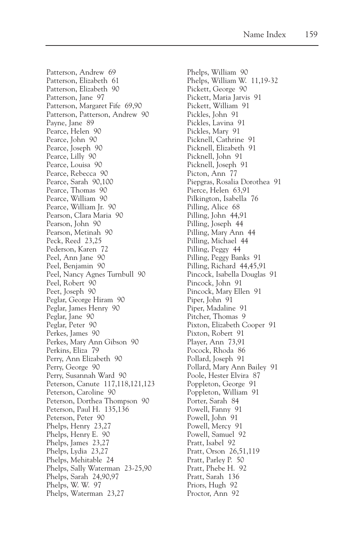Patterson, Andrew 69 Patterson, Elizabeth 61 Patterson, Elizabeth 90 Patterson, Jane 97 Patterson, Margaret Fife 69,90 Patterson, Patterson, Andrew 90 Payne, Jane 89 Pearce, Helen 90 Pearce, John 90 Pearce, Joseph 90 Pearce, Lilly 90 Pearce, Louisa 90 Pearce, Rebecca 90 Pearce, Sarah 90,100 Pearce, Thomas 90 Pearce, William 90 Pearce, William Jr. 90 Pearson, Clara Maria 90 Pearson, John 90 Pearson, Metinah 90 Peck, Reed 23,25 Pederson, Karen 72 Peel, Ann Jane 90 Peel, Benjamin 90 Peel, Nancy Agnes Turnbull 90 Peel, Robert 90 Peet, Joseph 90 Peglar, George Hiram 90 Peglar, James Henry 90 Peglar, Jane 90 Peglar, Peter 90 Perkes, James 90 Perkes, Mary Ann Gibson 90 Perkins, Eliza 79 Perry, Ann Elizabeth 90 Perry, George 90 Perry, Susannah Ward 90 Peterson, Canute 117,118,121,123 Peterson, Caroline 90 Peterson, Dorthea Thompson 90 Peterson, Paul H. 135,136 Peterson, Peter 90 Phelps, Henry 23,27 Phelps, Henry E. 90 Phelps, James 23,27 Phelps, Lydia 23,27 Phelps, Mehitable 24 Phelps, Sally Waterman 23-25,90 Phelps, Sarah 24,90,97 Phelps, W. W. 97 Phelps, Waterman 23,27

Phelps, William 90 Phelps, William W. 11,19-32 Pickett, George 90 Pickett, Maria Jarvis 91 Pickett, William 91 Pickles, John 91 Pickles, Lavina 91 Pickles, Mary 91 Picknell, Cathrine 91 Picknell, Elizabeth 91 Picknell, John 91 Picknell, Joseph 91 Picton, Ann 77 Piepgras, Rosalia Dorothea 91 Pierce, Helen 63,91 Pilkington, Isabella 76 Pilling, Alice 68 Pilling, John 44,91 Pilling, Joseph 44 Pilling, Mary Ann 44 Pilling, Michael 44 Pilling, Peggy 44 Pilling, Peggy Banks 91 Pilling, Richard 44,45,91 Pincock, Isabella Douglas 91 Pincock, John 91 Pincock, Mary Ellen 91 Piper, John 91 Piper, Madaline 91 Pitcher, Thomas 9 Pixton, Elizabeth Cooper 91 Pixton, Robert 91 Player, Ann 73,91 Pocock, Rhoda 86 Pollard, Joseph 91 Pollard, Mary Ann Bailey 91 Poole, Hester Elvira 87 Poppleton, George 91 Poppleton, William 91 Porter, Sarah 84 Powell, Fanny 91 Powell, John 91 Powell, Mercy 91 Powell, Samuel 92 Pratt, Isabel 92 Pratt, Orson 26,51,119 Pratt, Parley P. 50 Pratt, Phebe H. 92 Pratt, Sarah 136 Priors, Hugh 92 Proctor, Ann 92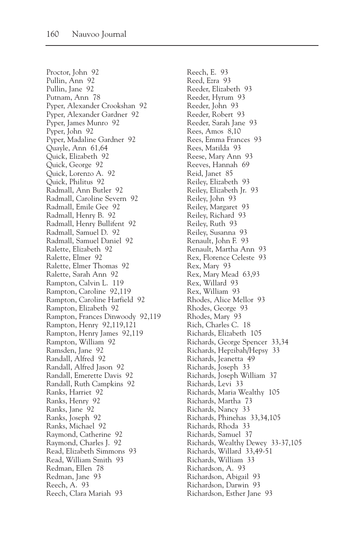Proctor, John 92 Pullin, Ann 92 Pullin, Jane 92 Putnam, Ann 78 Pyper, Alexander Crookshan 92 Pyper, Alexander Gardner 92 Pyper, James Munro 92 Pyper, John 92 Pyper, Madaline Gardner 92 Quayle, Ann 61,64 Quick, Elizabeth 92 Quick, George 92 Quick, Lorenzo A. 92 Quick, Philitus 92 Radmall, Ann Butler 92 Radmall, Caroline Severn 92 Radmall, Emile Gee 92 Radmall, Henry B. 92 Radmall, Henry Bullifent 92 Radmall, Samuel D. 92 Radmall, Samuel Daniel 92 Ralette, Elizabeth 92 Ralette, Elmer 92 Ralette, Elmer Thomas 92 Ralette, Sarah Ann 92 Rampton, Calvin L. 119 Rampton, Caroline 92,119 Rampton, Caroline Harfield 92 Rampton, Elizabeth 92 Rampton, Frances Dinwoody 92,119 Rampton, Henry 92,119,121 Rampton, Henry James 92,119 Rampton, William 92 Ramsden, Jane 92 Randall, Alfred 92 Randall, Alfred Jason 92 Randall, Emerette Davis 92 Randall, Ruth Campkins 92 Ranks, Harriet 92 Ranks, Henry 92 Ranks, Jane 92 Ranks, Joseph 92 Ranks, Michael 92 Raymond, Catherine 92 Raymond, Charles J. 92 Read, Elizabeth Simmons 93 Read, William Smith 93 Redman, Ellen 78 Redman, Jane 93 Reech, A. 93 Reech, Clara Mariah 93

Reech, E. 93 Reed, Ezra 93 Reeder, Elizabeth 93 Reeder, Hyrum 93 Reeder, John 93 Reeder, Robert 93 Reeder, Sarah Jane 93 Rees, Amos 8,10 Rees, Emma Frances 93 Rees, Matilda 93 Reese, Mary Ann 93 Reeves, Hannah 69 Reid, Janet 85 Reiley, Elizabeth 93 Reiley, Elizabeth Jr. 93 Reiley, John 93 Reiley, Margaret 93 Reiley, Richard 93 Reiley, Ruth 93 Reiley, Susanna 93 Renault, John F. 93 Renault, Martha Ann 93 Rex, Florence Celeste 93 Rex, Mary 93 Rex, Mary Mead 63,93 Rex, Willard 93 Rex, William 93 Rhodes, Alice Mellor 93 Rhodes, George 93 Rhodes, Mary 93 Rich, Charles C. 18 Richards, Elizabeth 105 Richards, George Spencer 33,34 Richards, Hepzibah/Hepsy 33 Richards, Jeanetta 49 Richards, Joseph 33 Richards, Joseph William 37 Richards, Levi 33 Richards, Maria Wealthy 105 Richards, Martha 73 Richards, Nancy 33 Richards, Phinehas 33,34,105 Richards, Rhoda 33 Richards, Samuel 37 Richards, Wealthy Dewey 33-37,105 Richards, Willard 33,49-51 Richards, William 33 Richardson, A. 93 Richardson, Abigail 93 Richardson, Darwin 93 Richardson, Esther Jane 93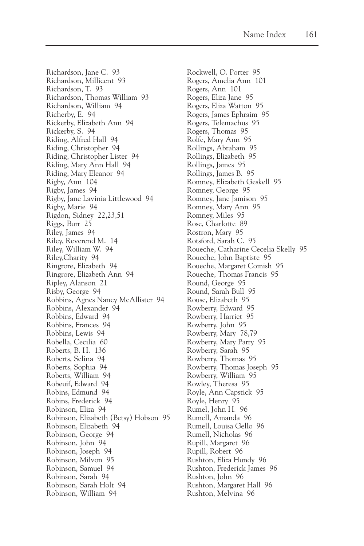Richardson, Jane C. 93 Richardson, Millicent 93 Richardson, T. 93 Richardson, Thomas William 93 Richardson, William 94 Richerby, E. 94 Rickerby, Elizabeth Ann 94 Rickerby, S. 94 Riding, Alfred Hall 94 Riding, Christopher 94 Riding, Christopher Lister 94 Riding, Mary Ann Hall 94 Riding, Mary Eleanor 94 Rigby, Ann 104 Rigby, James 94 Rigby, Jane Lavinia Littlewood 94 Rigby, Marie 94 Rigdon, Sidney 22,23,51 Riggs, Burr 25 Riley, James 94 Riley, Reverend M. 14 Riley, William W. 94 Riley,Charity 94 Ringrore, Elizabeth 94 Ringrore, Elizabeth Ann 94 Ripley, Alanson 21 Risby, George 94 Robbins, Agnes Nancy McAllister 94 Robbins, Alexander 94 Robbins, Edward 94 Robbins, Frances 94 Robbins, Lewis 94 Robella, Cecilia 60 Roberts, B. H. 136 Roberts, Selina 94 Roberts, Sophia 94 Roberts, William 94 Robeuif, Edward 94 Robins, Edmund 94 Robins, Frederick 94 Robinson, Eliza 94 Robinson, Elizabeth (Betsy) Hobson 95 Robinson, Elizabeth 94 Robinson, George 94 Robinson, John 94 Robinson, Joseph 94 Robinson, Milvon 95 Robinson, Samuel 94 Robinson, Sarah 94 Robinson, Sarah Holt 94 Robinson, William 94

Rockwell, O. Porter 95 Rogers, Amelia Ann 101 Rogers, Ann 101 Rogers, Eliza Jane 95 Rogers, Eliza Watton 95 Rogers, James Ephraim 95 Rogers, Telemachus 95 Rogers, Thomas 95 Rolfe, Mary Ann 95 Rollings, Abraham 95 Rollings, Elizabeth 95 Rollings, James 95 Rollings, James B. 95 Romney, Elizabeth Geskell 95 Romney, George 95 Romney, Jane Jamison 95 Romney, Mary Ann 95 Romney, Miles 95 Rose, Charlotte 89 Rostron, Mary 95 Rotsford, Sarah C. 95 Roueche, Catharine Cecelia Skelly 95 Roueche, John Baptiste 95 Roueche, Margaret Comish 95 Roueche, Thomas Francis 95 Round, George 95 Round, Sarah Bull 95 Rouse, Elizabeth 95 Rowberry, Edward 95 Rowberry, Harriet 95 Rowberry, John 95 Rowberry, Mary 78,79 Rowberry, Mary Parry 95 Rowberry, Sarah 95 Rowberry, Thomas 95 Rowberry, Thomas Joseph 95 Rowberry, William 95 Rowley, Theresa 95 Royle, Ann Capstick 95 Royle, Henry 95 Rumel, John H. 96 Rumell, Amanda 96 Rumell, Louisa Gello 96 Rumell, Nicholas 96 Rupill, Margaret 96 Rupill, Robert 96 Rushton, Eliza Hundy 96 Rushton, Frederick James 96 Rushton, John 96 Rushton, Margaret Hall 96 Rushton, Melvina 96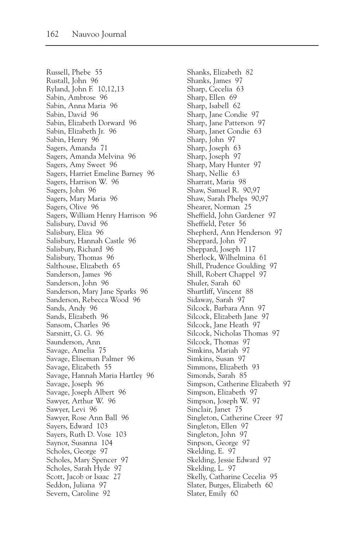Russell, Phebe 55 Rustall, John 96 Ryland, John F. 10,12,13 Sabin, Ambrose 96 Sabin, Anna Maria 96 Sabin, David 96 Sabin, Elizabeth Dorward 96 Sabin, Elizabeth Jr. 96 Sabin, Henry 96 Sagers, Amanda 71 Sagers, Amanda Melvina 96 Sagers, Amy Sweet 96 Sagers, Harriet Emeline Barney 96 Sagers, Harrison W. 96 Sagers, John 96 Sagers, Mary Maria 96 Sagers, Olive 96 Sagers, William Henry Harrison 96 Salisbury, David 96 Salisbury, Eliza 96 Salisbury, Hannah Castle 96 Salisbury, Richard 96 Salisbury, Thomas 96 Salthouse, Elizabeth 65 Sanderson, James 96 Sanderson, John 96 Sanderson, Mary Jane Sparks 96 Sanderson, Rebecca Wood 96 Sands, Andy 96 Sands, Elizabeth 96 Sansom, Charles 96 Sarsnitt, G. G. 96 Saunderson, Ann Savage, Amelia 75 Savage, Eliseman Palmer 96 Savage, Elizabeth 55 Savage, Hannah Maria Hartley 96 Savage, Joseph 96 Savage, Joseph Albert 96 Sawyer, Arthur W. 96 Sawyer, Levi 96 Sawyer, Rose Ann Ball 96 Sayers, Edward 103 Sayers, Ruth D. Vose 103 Saynor, Susanna 104 Scholes, George 97 Scholes, Mary Spencer 97 Scholes, Sarah Hyde 97 Scott, Jacob or Isaac 27 Seddon, Juliana 97 Severn, Caroline 92

Shanks, Elizabeth 82 Shanks, James 97 Sharp, Cecelia 63 Sharp, Ellen 69 Sharp, Isabell 62 Sharp, Jane Condie 97 Sharp, Jane Patterson 97 Sharp, Janet Condie 63 Sharp, John 97 Sharp, Joseph 63 Sharp, Joseph 97 Sharp, Mary Hunter 97 Sharp, Nellie 63 Sharratt, Maria 98 Shaw, Samuel R. 90,97 Shaw, Sarah Phelps 90,97 Shearer, Norman 25 Sheffield, John Gardener 97 Sheffield, Peter 56 Shepherd, Ann Henderson 97 Sheppard, John 97 Sheppard, Joseph 117 Sherlock, Wilhelmina 61 Shill, Prudence Goulding 97 Shill, Robert Chappel 97 Shuler, Sarah 60 Shurtliff, Vincent 88 Sidaway, Sarah 97 Silcock, Barbara Ann 97 Silcock, Elizabeth Jane 97 Silcock, Jane Heath 97 Silcock, Nicholas Thomas 97 Silcock, Thomas 97 Simkins, Mariah 97 Simkins, Susan 97 Simmons, Elizabeth 93 Simonds, Sarah 85 Simpson, Catherine Elizabeth 97 Simpson, Elizabeth 97 Simpson, Joseph W. 97 Sinclair, Janet 75 Singleton, Catherine Creer 97 Singleton, Ellen 97 Singleton, John 97 Sinpson, George 97 Skelding, E. 97 Skelding, Jessie Edward 97 Skelding, L. 97 Skelly, Catharine Cecelia 95 Slater, Burges, Elizabeth 60 Slater, Emily 60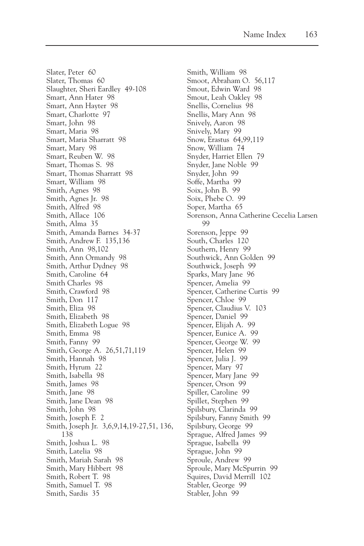Slater, Peter 60 Slater, Thomas 60 Slaughter, Sheri Eardley 49-108 Smart, Ann Hater 98 Smart, Ann Hayter 98 Smart, Charlotte 97 Smart, John 98 Smart, Maria 98 Smart, Maria Sharratt 98 Smart, Mary 98 Smart, Reuben W. 98 Smart, Thomas S. 98 Smart, Thomas Sharratt 98 Smart, William 98 Smith, Agnes 98 Smith, Agnes Jr. 98 Smith, Alfred 98 Smith, Allace 106 Smith, Alma 35 Smith, Amanda Barnes 34-37 Smith, Andrew F. 135,136 Smith, Ann 98,102 Smith, Ann Ormandy 98 Smith, Arthur Dydney 98 Smith, Caroline 64 Smith Charles 98 Smith, Crawford 98 Smith, Don 117 Smith, Eliza 98 Smith, Elizabeth 98 Smith, Elizabeth Logue 98 Smith, Emma 98 Smith, Fanny 99 Smith, George A. 26,51,71,119 Smith, Hannah 98 Smith, Hyrum 22 Smith, Isabella 98 Smith, James 98 Smith, Jane 98 Smith, Jane Dean 98 Smith, John 98 Smith, Joseph F. 2 Smith, Joseph Jr. 3,6,9,14,19-27,51, 136, 138 Smith, Joshua L. 98 Smith, Latelia 98 Smith, Mariah Sarah 98 Smith, Mary Hibbert 98 Smith, Robert T. 98 Smith, Samuel T. 98 Smith, Sardis 35

Smith, William 98 Smoot, Abraham O. 56,117 Smout, Edwin Ward 98 Smout, Leah Oakley 98 Snellis, Cornelius 98 Snellis, Mary Ann 98 Snively, Aaron 98 Snively, Mary 99 Snow, Erastus 64,99,119 Snow, William 74 Snyder, Harriet Ellen 79 Snyder, Jane Noble 99 Snyder, John 99 Soffe, Martha 99 Soix, John B. 99 Soix, Phebe O. 99 Soper, Martha 65 Sorenson, Anna Catherine Cecelia Larsen 99 Sorenson, Jeppe 99 South, Charles 120 Southern, Henry 99 Southwick, Ann Golden 99 Southwick, Joseph 99 Sparks, Mary Jane 96 Spencer, Amelia 99 Spencer, Catherine Curtis 99 Spencer, Chloe 99 Spencer, Claudius V. 103 Spencer, Daniel 99 Spencer, Elijah A. 99 Spencer, Eunice A. 99 Spencer, George W. 99 Spencer, Helen 99 Spencer, Julia J. 99 Spencer, Mary 97 Spencer, Mary Jane 99 Spencer, Orson 99 Spiller, Caroline 99 Spillet, Stephen 99 Spilsbury, Clarinda 99 Spilsbury, Fanny Smith 99 Spilsbury, George 99 Sprague, Alfred James 99 Sprague, Isabella 99 Sprague, John 99 Sproule, Andrew 99 Sproule, Mary McSpurrin 99 Squires, David Merrill 102 Stabler, George 99 Stabler, John 99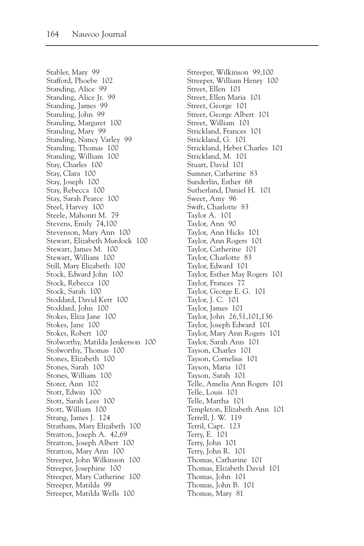Stabler, Mary 99 Stafford, Phoebe 102 Standing, Alice 99 Standing, Alice Jr. 99 Standing, James 99 Standing, John 99 Standing, Margaret 100 Standing, Mary 99 Standing, Nancy Varley 99 Standing, Thomas 100 Standing, William 100 Stay, Charles 100 Stay, Clara 100 Stay, Joseph 100 Stay, Rebecca 100 Stay, Sarah Pearce 100 Steel, Harvey 100 Steele, Mahonri M. 79 Stevens, Emily 74,100 Stevenson, Mary Ann 100 Stewart, Elizabeth Murdock 100 Stewart, James M. 100 Stewart, William 100 Still, Mary Elizabeth 100 Stock, Edward John 100 Stock, Rebecca 100 Stock, Sarah 100 Stoddard, David Kerr 100 Stoddard, John 100 Stokes, Eliza Jane 100 Stokes, Jane 100 Stokes, Robert 100 Stolworthy, Matilda Jenkerson 100 Stolworthy, Thomas 100 Stones, Elizabeth 100 Stones, Sarah 100 Stones, William 100 Storer, Ann 102 Stott, Edwin 100 Stott, Sarah Lees 100 Stott, William 100 Strang, James J. 124 Stratham, Mary Elizabeth 100 Stratton, Joseph A. 42,69 Stratton, Joseph Albert 100 Stratton, Mary Ann 100 Streeper, John Wilkinson 100 Streeper, Josephine 100 Streeper, Mary Catherine 100 Streeper, Matilda 99 Streeper, Matilda Wells 100

Streeper, Wilkinson 99,100 Streeper, William Henry 100 Street, Ellen 101 Street, Ellen Maria 101 Street, George 101 Street, George Albert 101 Street, William 101 Strickland, Frances 101 Strickland, G. 101 Strickland, Heber Charles 101 Strickland, M. 101 Stuart, David 101 Sumner, Catherine 83 Sunderlin, Esther 68 Sutherland, Daniel H. 101 Sweet, Amy 96 Swift, Charlotte 83 Taylor A. 101 Taylor, Ann 90 Taylor, Ann Hicks 101 Taylor, Ann Rogers 101 Taylor, Catherine 101 Taylor, Charlotte 83 Taylor, Edward 101 Taylor, Esther May Rogers 101 Taylor, Frances 77 Taylor, George E. G. 101 Taylor, J. C. 101 Taylor, James 101 Taylor, John 26,51,101,136 Taylor, Joseph Edward 101 Taylor, Mary Ann Rogers 101 Taylor, Sarah Ann 101 Tayson, Charles 101 Tayson, Cornelius 101 Tayson, Maria 101 Tayson, Sarah 101 Telle, Amelia Ann Rogers 101 Telle, Louis 101 Telle, Martha 101 Templeton, Elizabeth Ann 101 Terrell, J. W. 119 Terril, Capt. 123 Terry, E. 101 Terry, John 101 Terry, John R. 101 Thomas, Catharine 101 Thomas, Elizabeth David 101 Thomas, John 101 Thomas, John B. 101 Thomas, Mary 81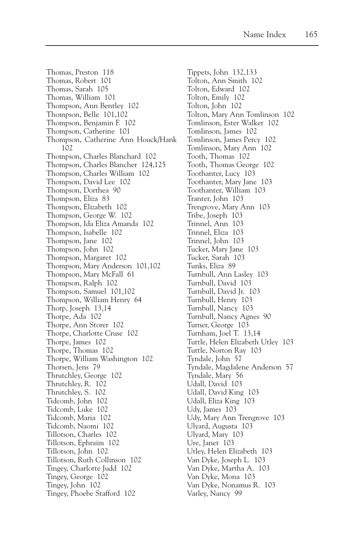Thomas, Preston 118 Thomas, Robert 101 Thomas, Sarah 105 Thomas, William 101 Thompson, Ann Bentley 102 Thompson, Belle 101,102 Thompson, Benjamin F. 102 Thompson, Catherine 101 Thompson, Catherine Ann Houck/Hank 102 Thompson, Charles Blanchard 102 Thompson, Charles Blancher 124,125 Thompson, Charles William 102 Thompson, David Lee 102 Thompson, Dorthea 90 Thompson, Eliza 83 Thompson, Elizabeth 102 Thompson, George W. 102 Thompson, Ida Eliza Amanda 102 Thompson, Isabelle 102 Thompson, Jane 102 Thompson, John 102 Thompson, Margaret 102 Thompson, Mary Anderson 101,102 Thompson, Mary McFall 61 Thompson, Ralph 102 Thompson, Samuel 101,102 Thompson, William Henry 64 Thorp, Joseph 13,14 Thorpe, Ada 102 Thorpe, Ann Storer 102 Thorpe, Charlotte Cruse 102 Thorpe, James 102 Thorpe, Thomas 102 Thorpe, William Washington 102 Thorsen, Jens 79 Thrutchley, George 102 Thrutchley, R. 102 Thrutchley, S. 102 Tidcomb, John 102 Tidcomb, Luke 102 Tidcomb, Maria 102 Tidcomb, Naomi 102 Tillotson, Charles 102 Tillotson, Ephraim 102 Tillotson, John 102 Tillotson, Ruth Collinson 102 Tingey, Charlotte Judd 102 Tingey, George 102 Tingey, John 102 Tingey, Phoebe Stafford 102

Tippets, John 132,133 Tolton, Ann Smith 102 Tolton, Edward 102 Tolton, Emily 102 Tolton, John 102 Tolton, Mary Ann Tomlinson 102 Tomlinson, Ester Walker 102 Tomlinson, James 102 Tomlinson, James Percy 102 Tomlinson, Mary Ann 102 Tooth, Thomas 102 Tooth, Thomas George 102 Toothanter, Lucy 103 Toothanter, Mary Jane 103 Toothanter, William 103 Tranter, John 103 Trengrove, Mary Ann 103 Tribe, Joseph 103 Trinnel, Ann 103 Trinnel, Eliza 103 Trinnel, John 103 Tucker, Mary Jane 103 Tucker, Sarah 103 Tunks, Eliza 89 Turnbull, Ann Lasley 103 Turnbull, David 103 Turnbull, David Jr. 103 Turnbull, Henry 103 Turnbull, Nancy 103 Turnbull, Nancy Agnes 90 Turner, George 103 Turnham, Joel T. 13,14 Tuttle, Helen Elizabeth Utley 103 Tuttle, Norton Ray 103 Tyndale, John 57 Tyndale, Magdalene Anderson 57 Tyndale, Mary 56 Udall, David 103 Udall, David King 103 Udall, Eliza King 103 Udy, James 103 Udy, Mary Ann Trengrove 103 Ulyard, Augusta 103 Ulyard, Mary 103 Ure, Janet 103 Utley, Helen Elizabeth 103 Van Dyke, Joseph L. 103 Van Dyke, Martha A. 103 Van Dyke, Mona 103 Van Dyke, Nonamus R. 103 Varley, Nancy 99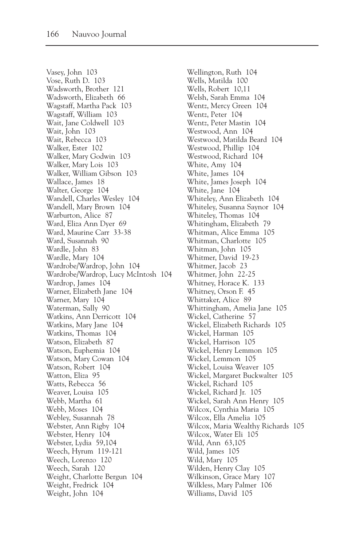Vasey, John 103 Vose, Ruth D. 103 Wadsworth, Brother 121 Wadsworth, Elizabeth 66 Wagstaff, Martha Pack 103 Wagstaff, William 103 Wait, Jane Coldwell 103 Wait, John 103 Wait, Rebecca 103 Walker, Ester 102 Walker, Mary Godwin 103 Walker, Mary Lois 103 Walker, William Gibson 103 Wallace, James 18 Walter, George 104 Wandell, Charles Wesley 104 Wandell, Mary Brown 104 Warburton, Alice 87 Ward, Eliza Ann Dyer 69 Ward, Maurine Carr 33-38 Ward, Susannah 90 Wardle, John 83 Wardle, Mary 104 Wardrobe/Wardrop, John 104 Wardrobe/Wardrop, Lucy McIntosh 104 Wardrop, James 104 Warner, Elizabeth Jane 104 Warner, Mary 104 Waterman, Sally 90 Watkins, Ann Derricott 104 Watkins, Mary Jane 104 Watkins, Thomas 104 Watson, Elizabeth 87 Watson, Euphemia 104 Watson, Mary Cowan 104 Watson, Robert 104 Watton, Eliza 95 Watts, Rebecca 56 Weaver, Louisa 105 Webb, Martha 61 Webb, Moses 104 Webley, Susannah 78 Webster, Ann Rigby 104 Webster, Henry 104 Webster, Lydia 59,104 Weech, Hyrum 119-121 Weech, Lorenzo 120 Weech, Sarah 120 Weight, Charlotte Bergun 104 Weight, Fredrick 104 Weight, John 104

Wellington, Ruth 104 Wells, Matilda 100 Wells, Robert 10,11 Welsh, Sarah Emma 104 Wentz, Mercy Green 104 Wentz, Peter 104 Wentz, Peter Mastin 104 Westwood, Ann 104 Westwood, Matilda Beard 104 Westwood, Phillip 104 Westwood, Richard 104 White, Amy 104 White, James 104 White, James Joseph 104 White, Jane 104 Whiteley, Ann Elizabeth 104 Whiteley, Susanna Saynor 104 Whiteley, Thomas 104 Whitingham, Elizabeth 79 Whitman, Alice Emma 105 Whitman, Charlotte 105 Whitman, John 105 Whitmer, David 19-23 Whitmer, Jacob 23 Whitmer, John 22-25 Whitney, Horace K. 133 Whitney, Orson F. 45 Whittaker, Alice 89 Whittingham, Amelia Jane 105 Wickel, Catherine 57 Wickel, Elizabeth Richards 105 Wickel, Harman 105 Wickel, Harrison 105 Wickel, Henry Lemmon 105 Wickel, Lemmon 105 Wickel, Louisa Weaver 105 Wickel, Margaret Buckwalter 105 Wickel, Richard 105 Wickel, Richard Jr. 105 Wickel, Sarah Ann Henry 105 Wilcox, Cynthia Maria 105 Wilcox, Ella Amelia 105 Wilcox, Maria Wealthy Richards 105 Wilcox, Water Eli 105 Wild, Ann 63,105 Wild, James 105 Wild, Mary 105 Wilden, Henry Clay 105 Wilkinson, Grace Mary 107 Wilkless, Mary Palmer 106 Williams, David 105